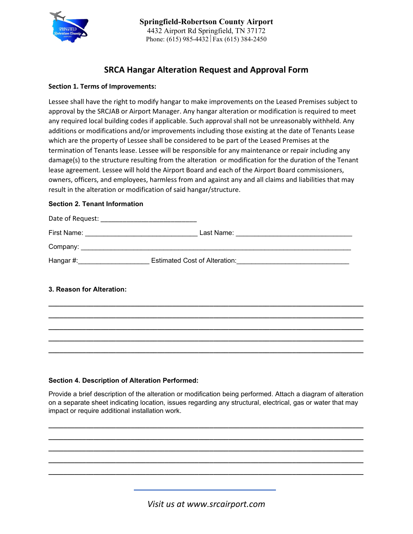

# **SRCA Hangar Alteration Request and Approval Form**

### **Section 1. Terms of Improvements:**

Lessee shall have the right to modify hangar to make improvements on the Leased Premises subject to approval by the SRCJAB or Airport Manager. Any hangar alteration or modification is required to meet any required local building codes if applicable. Such approval shall not be unreasonably withheld. Any additions or modifications and/or improvements including those existing at the date of Tenants Lease which are the property of Lessee shall be considered to be part of the Leased Premises at the termination of Tenants lease. Lessee will be responsible for any maintenance or repair including any damage(s) to the structure resulting from the alteration or modification for the duration of the Tenant lease agreement. Lessee will hold the Airport Board and each of the Airport Board commissioners, owners, officers, and employees, harmless from and against any and all claims and liabilities that may result in the alteration or modification of said hangar/structure.

### **Section 2. Tenant Information**



**\_\_\_\_\_\_\_\_\_\_\_\_\_\_\_\_\_\_\_\_\_\_\_\_\_\_\_\_\_\_\_\_\_\_\_\_\_\_\_\_\_\_\_\_\_\_\_\_\_\_\_\_\_\_\_\_\_\_\_\_\_\_\_\_\_\_\_\_\_\_\_\_\_\_\_\_\_\_\_\_\_\_\_\_ \_\_\_\_\_\_\_\_\_\_\_\_\_\_\_\_\_\_\_\_\_\_\_\_\_\_\_\_\_\_\_\_\_\_\_\_\_\_\_\_\_\_\_\_\_\_\_\_\_\_\_\_\_\_\_\_\_\_\_\_\_\_\_\_\_\_\_\_\_\_\_\_\_\_\_\_\_\_\_\_\_\_\_\_ \_\_\_\_\_\_\_\_\_\_\_\_\_\_\_\_\_\_\_\_\_\_\_\_\_\_\_\_\_\_\_\_\_\_\_\_\_\_\_\_\_\_\_\_\_\_\_\_\_\_\_\_\_\_\_\_\_\_\_\_\_\_\_\_\_\_\_\_\_\_\_\_\_\_\_\_\_\_\_\_\_\_\_\_ \_\_\_\_\_\_\_\_\_\_\_\_\_\_\_\_\_\_\_\_\_\_\_\_\_\_\_\_\_\_\_\_\_\_\_\_\_\_\_\_\_\_\_\_\_\_\_\_\_\_\_\_\_\_\_\_\_\_\_\_\_\_\_\_\_\_\_\_\_\_\_\_\_\_\_\_\_\_\_\_\_\_\_\_ \_\_\_\_\_\_\_\_\_\_\_\_\_\_\_\_\_\_\_\_\_\_\_\_\_\_\_\_\_\_\_\_\_\_\_\_\_\_\_\_\_\_\_\_\_\_\_\_\_\_\_\_\_\_\_\_\_\_\_\_\_\_\_\_\_\_\_\_\_\_\_\_\_\_\_\_\_\_\_\_\_\_\_\_**

## **3. Reason for Alteration:**

#### **Section 4. Description of Alteration Performed:**

Provide a brief description of the alteration or modification being performed. Attach a diagram of alteration on a separate sheet indicating location, issues regarding any structural, electrical, gas or water that may impact or require additional installation work.

**\_\_\_\_\_\_\_\_\_\_\_\_\_\_\_\_\_\_\_\_\_\_\_\_\_\_\_\_\_\_\_\_\_\_\_\_\_\_\_\_\_\_\_\_\_\_\_\_\_\_\_\_\_\_\_\_\_\_\_\_\_\_\_\_\_\_\_\_\_\_\_\_\_\_\_\_\_\_\_\_\_\_\_\_ \_\_\_\_\_\_\_\_\_\_\_\_\_\_\_\_\_\_\_\_\_\_\_\_\_\_\_\_\_\_\_\_\_\_\_\_\_\_\_\_\_\_\_\_\_\_\_\_\_\_\_\_\_\_\_\_\_\_\_\_\_\_\_\_\_\_\_\_\_\_\_\_\_\_\_\_\_\_\_\_\_\_\_\_ \_\_\_\_\_\_\_\_\_\_\_\_\_\_\_\_\_\_\_\_\_\_\_\_\_\_\_\_\_\_\_\_\_\_\_\_\_\_\_\_\_\_\_\_\_\_\_\_\_\_\_\_\_\_\_\_\_\_\_\_\_\_\_\_\_\_\_\_\_\_\_\_\_\_\_\_\_\_\_\_\_\_\_\_ \_\_\_\_\_\_\_\_\_\_\_\_\_\_\_\_\_\_\_\_\_\_\_\_\_\_\_\_\_\_\_\_\_\_\_\_\_\_\_\_\_\_\_\_\_\_\_\_\_\_\_\_\_\_\_\_\_\_\_\_\_\_\_\_\_\_\_\_\_\_\_\_\_\_\_\_\_\_\_\_\_\_\_\_ \_\_\_\_\_\_\_\_\_\_\_\_\_\_\_\_\_\_\_\_\_\_\_\_\_\_\_\_\_\_\_\_\_\_\_\_\_\_\_\_\_\_\_\_\_\_\_\_\_\_\_\_\_\_\_\_\_\_\_\_\_\_\_\_\_\_\_\_\_\_\_\_\_\_\_\_\_\_\_\_\_\_\_\_**